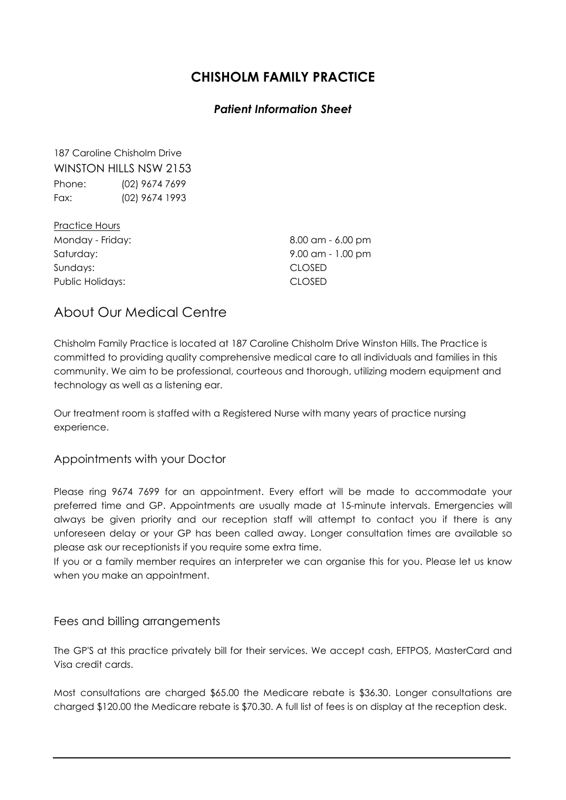# CHISHOLM FAMILY PRACTICE

# Patient Information Sheet

187 Caroline Chisholm Drive WINSTON HILLS NSW 2153 Phone: (02) 9674 7699 Fax: (02) 9674 1993

| 8.00 am - 6.00 pm   |
|---------------------|
| $9.00$ am - 1.00 pm |
| <b>CLOSED</b>       |
| <b>CLOSED</b>       |
|                     |

# About Our Medical Centre

Chisholm Family Practice is located at 187 Caroline Chisholm Drive Winston Hills. The Practice is committed to providing quality comprehensive medical care to all individuals and families in this community. We aim to be professional, courteous and thorough, utilizing modern equipment and technology as well as a listening ear.

Our treatment room is staffed with a Registered Nurse with many years of practice nursing experience.

#### Appointments with your Doctor

Please ring 9674 7699 for an appointment. Every effort will be made to accommodate your preferred time and GP. Appointments are usually made at 15-minute intervals. Emergencies will always be given priority and our reception staff will attempt to contact you if there is any unforeseen delay or your GP has been called away. Longer consultation times are available so please ask our receptionists if you require some extra time.

If you or a family member requires an interpreter we can organise this for you. Please let us know when you make an appointment.

#### Fees and billing arrangements

The GP'S at this practice privately bill for their services. We accept cash, EFTPOS, MasterCard and Visa credit cards.

Most consultations are charged \$65.00 the Medicare rebate is \$36.30. Longer consultations are charged \$120.00 the Medicare rebate is \$70.30. A full list of fees is on display at the reception desk.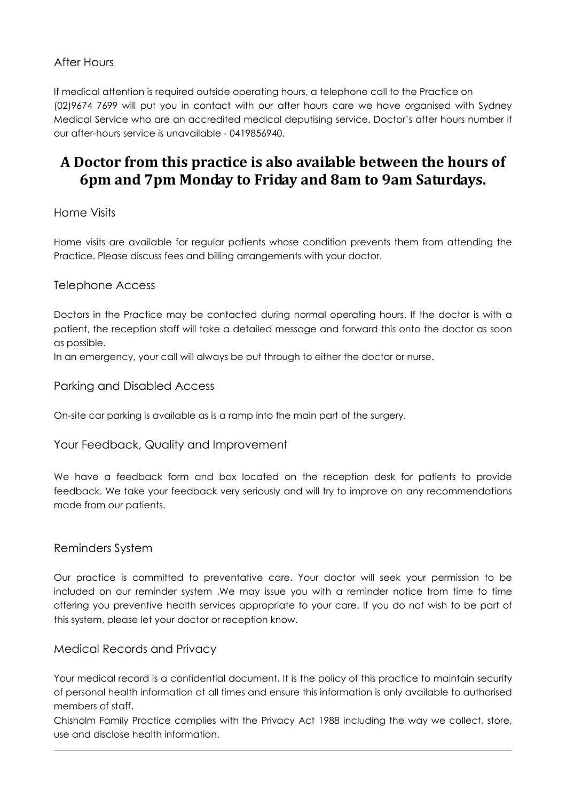# After Hours

If medical attention is required outside operating hours, a telephone call to the Practice on (02)9674 7699 will put you in contact with our after hours care we have organised with Sydney Medical Service who are an accredited medical deputising service. Doctor's after hours number if our after-hours service is unavailable - 0419856940.

# A Doctor from this practice is also available between the hours of 6pm and 7pm Monday to Friday and 8am to 9am Saturdays.

# Home Visits

Home visits are available for regular patients whose condition prevents them from attending the Practice. Please discuss fees and billing arrangements with your doctor.

# Telephone Access

Doctors in the Practice may be contacted during normal operating hours. If the doctor is with a patient, the reception staff will take a detailed message and forward this onto the doctor as soon as possible.

In an emergency, your call will always be put through to either the doctor or nurse.

# Parking and Disabled Access

On-site car parking is available as is a ramp into the main part of the surgery.

#### Your Feedback, Quality and Improvement

We have a feedback form and box located on the reception desk for patients to provide feedback. We take your feedback very seriously and will try to improve on any recommendations made from our patients.

#### Reminders System

Our practice is committed to preventative care. Your doctor will seek your permission to be included on our reminder system .We may issue you with a reminder notice from time to time offering you preventive health services appropriate to your care. If you do not wish to be part of this system, please let your doctor or reception know.

#### Medical Records and Privacy

Your medical record is a confidential document. It is the policy of this practice to maintain security of personal health information at all times and ensure this information is only available to authorised members of staff.

Chisholm Family Practice complies with the Privacy Act 1988 including the way we collect, store, use and disclose health information.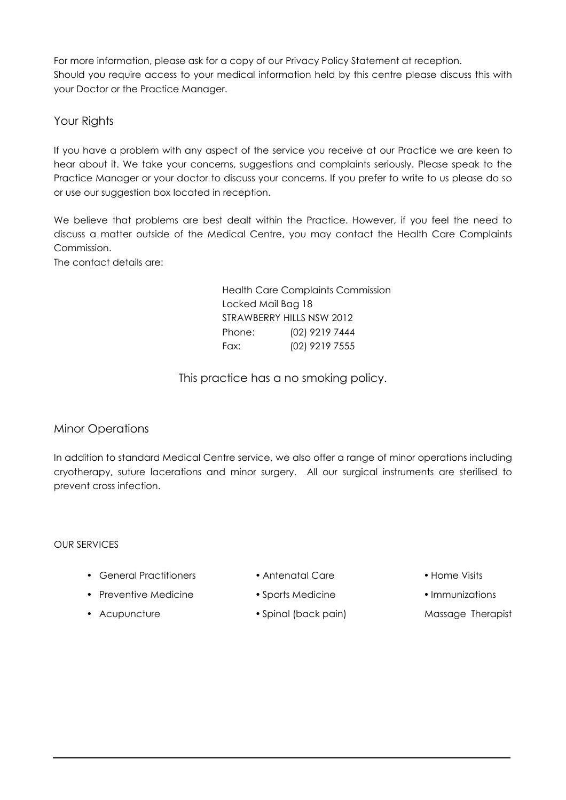For more information, please ask for a copy of our Privacy Policy Statement at reception. Should you require access to your medical information held by this centre please discuss this with your Doctor or the Practice Manager.

# Your Rights

If you have a problem with any aspect of the service you receive at our Practice we are keen to hear about it. We take your concerns, suggestions and complaints seriously. Please speak to the Practice Manager or your doctor to discuss your concerns. If you prefer to write to us please do so or use our suggestion box located in reception.

We believe that problems are best dealt within the Practice. However, if you feel the need to discuss a matter outside of the Medical Centre, you may contact the Health Care Complaints Commission.

The contact details are:

 Health Care Complaints Commission Locked Mail Bag 18 STRAWBERRY HILLS NSW 2012 Phone: (02) 9219 7444 Fax: (02) 9219 7555

This practice has a no smoking policy.

# Minor Operations

In addition to standard Medical Centre service, we also offer a range of minor operations including cryotherapy, suture lacerations and minor surgery. All our surgical instruments are sterilised to prevent cross infection.

#### OUR SERVICES

- General Practitioners Antenatal Care • Home Visits
- -
- 
- 
- 
- Preventive Medicine Sports Medicine • Immunizations
- 
- 
- 
- 
- Acupuncture Spinal (back pain) Massage Therapist